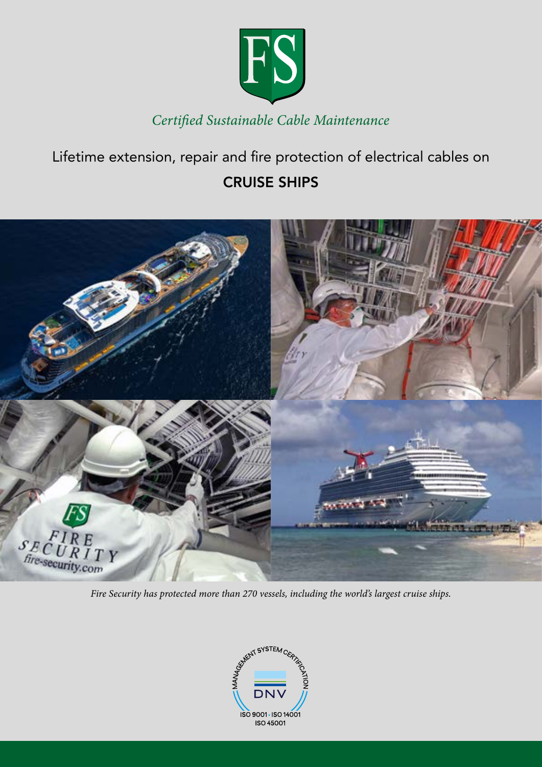

# Lifetime extension, repair and fire protection of electrical cables on CRUISE SHIPS



*Fire Security has protected more than 270 vessels, including the world's largest cruise ships.* 

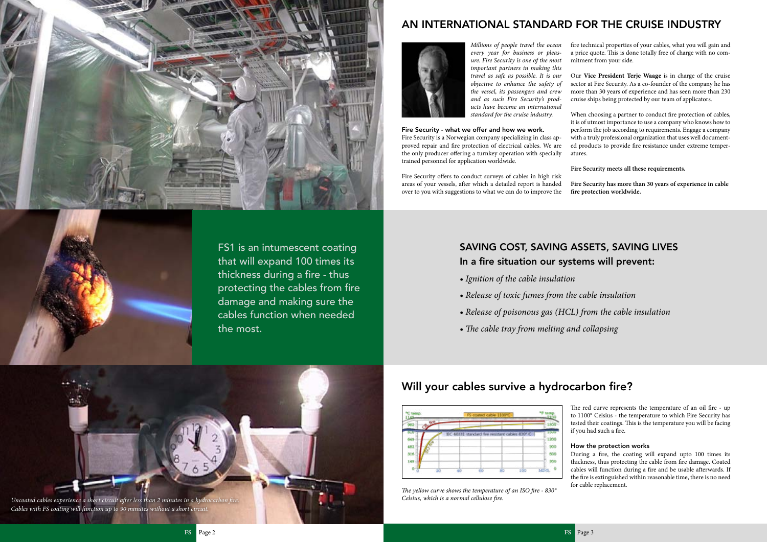## Will your cables survive a hydrocarbon fire?





AN INTERNATIONAL STANDARD FOR THE CRUISE INDUSTRY



*Millions of people travel the ocean every year for business or pleasure. Fire Security is one of the most important partners in making this travel as safe as possible. It is our objective to enhance the safety of the vessel, its passengers and crew and as such Fire Security's products have become an international standard for the cruise industry.*

Fire Security - what we offer and how we work.

Fire Security is a Norwegian company specializing in class approved repair and fire protection of electrical cables. We are the only producer offering a turnkey operation with specially trained personnel for application worldwide.

Fire Security offers to conduct surveys of cables in high risk areas of your vessels, after which a detailed report is handed over to you with suggestions to what we can do to improve the

fire technical properties of your cables, what you will gain and a price quote. This is done totally free of charge with no commitment from your side.

Our **Vice President Terje Waage** is in charge of the cruise sector at Fire Security. As a co-founder of the company he has more than 30 years of experience and has seen more than 230 cruise ships being protected by our team of applicators.

When choosing a partner to conduct fire protection of cables, it is of utmost importance to use a company who knows how to perform the job according to requirements. Engage a company with a truly professional organization that uses well documented products to provide fire resistance under extreme temperatures.

**Fire Security meets all these requirements.** 

**Fire Security has more than 30 years of experience in cable fire protection worldwide.**

*The yellow curve shows the temperature of an ISO fire - 830° Celsius, which is a normal cellulose fire.*

The red curve represents the temperature of an oil fire - up to 1100° Celsius - the temperature to which Fire Security has

tested their coatings. This is the temperature you will be facing if you had such a fire. How the protection works During a fire, the coating will expand upto 100 times its thickness, thus protecting the cable from fire damage. Coated cables will function during a fire and be usable afterwards. If the fire is extinguished within reasonable time, there is no need for cable replacement.

# SAVING COST, SAVING ASSETS, SAVING LIVES In a fire situation our systems will prevent:

- *Ignition of the cable insulation*
- *Release of toxic fumes from the cable insulation*
- *Release of poisonous gas (HCL) from the cable insulation*
- *The cable tray from melting and collapsing*





FS1 is an intumescent coating that will expand 100 times its thickness during a fire - thus protecting the cables from fire damage and making sure the cables function when needed the most.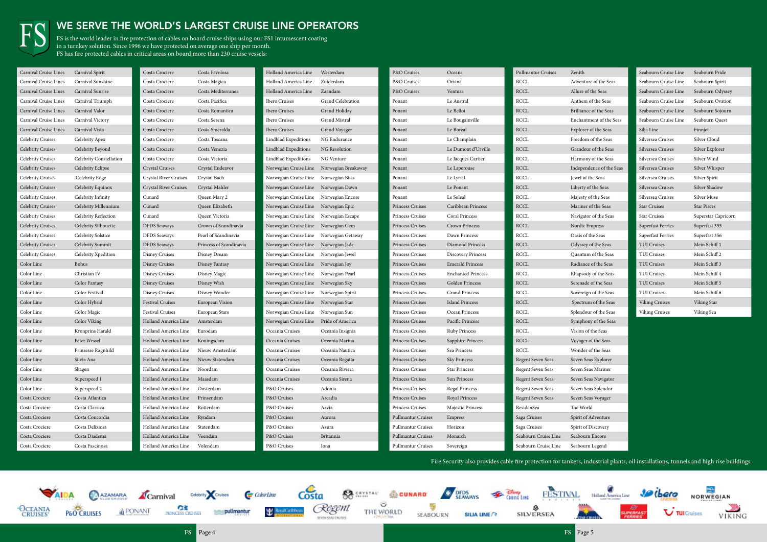FS is the world leader in fire protection of cables on board cruise ships using our FS1 intumescent coating in a turnkey solution. Since 1996 we have protected on average one ship per month. FS has fire protected cables in critical areas on board more than 230 cruise vessels:



### WE SERVE THE WORLD'S LARGEST CRUISE LINE OPERATORS

enture of the Seas re of the Seas hem of the Seas liance of the Seas hantment of the Seas lorer of the Seas edom of the Seas ndeur of the Seas mony of the Seas ependence of the Seas vel of the Seas erty of the Seas esty of the Seas iner of the Seas igator of the Seas dic Empress is of the Seas rssey of the Seas intum of the Seas iance of the Seas psody of the Seas enade of the Seas ereign of the Seas ectrum of the Seas endour of the Seas phony of the Seas ion of the Seas ager of the Seas nder of the Seas en Seas Explorer en Seas Mariner en Seas Navigator en Seas Splendor en Seas Voyager World it of Adventure rit of Discovery Sourn Encore Sourn Legend

| Carnival Cruise Lines    | Carnival Spirit         | Costa Crociere                       | Costa Favolosa          | Holland America Line                      | Westerdam         | P&O Cruises               | Oceana                    | Pullmantur Cruises    | Zenith  |
|--------------------------|-------------------------|--------------------------------------|-------------------------|-------------------------------------------|-------------------|---------------------------|---------------------------|-----------------------|---------|
| Carnival Cruise Lines    | Carnival Sunshine       | Costa Crociere                       | Costa Magica            | Holland America Line                      | Zuiderdam         | P&O Cruises               | Oriana                    | <b>RCCL</b>           | Adven   |
| Carnival Cruise Lines    | Carnival Sunrise        | Costa Crociere                       | Costa Mediterranea      | Holland America Line                      | Zaandam           | P&O Cruises               | Ventura                   | RCCL                  | Allure  |
| Carnival Cruise Lines    | Carnival Triumph        | Costa Crociere                       | Costa Pacifica          | Ibero Cruises                             | Grand Celebration | Ponant                    | Le Austral                | <b>RCCL</b>           | Anthe:  |
| Carnival Cruise Lines    | Carnival Valor          | Costa Crociere                       | Costa Romantica         | Ibero Cruises                             | Grand Holiday     | Ponant                    | Le Bellot                 | $\operatorname{RCCL}$ | Brillia |
| Carnival Cruise Lines    | Carnival Victory        | Costa Crociere                       | Costa Serena            | Ibero Cruises                             | Grand Mistral     | Ponant                    | Le Bougainville           | RCCL                  | Encha   |
| Carnival Cruise Lines    | Carnival Vista          | Costa Crociere                       | Costa Smeralda          | Ibero Cruises                             | Grand Voyager     | Ponant                    | Le Boreal                 | <b>RCCL</b>           | Explor  |
| Celebrity Cruises        | Celebrity Apex          | Costa Crociere                       | Costa Toscana           | Lindblad Expeditions                      | NG Endurance      | Ponant                    | Le Champlain              | <b>RCCL</b>           | Freedo  |
| <b>Celebrity Cruises</b> | Celebrity Beyond        | Costa Crociere                       | Costa Venezia           | Lindblad Expeditions                      | NG Resolution     | Ponant                    | Le Dumont d'Urville       | RCCL                  | Grand   |
| Celebrity Cruises        | Celebrity Constellation | Costa Crociere                       | Costa Victoria          | Lindblad Expeditions                      | NG Venture        | Ponant                    | Le Jacques Cartier        | RCCL                  | Harmo   |
| <b>Celebrity Cruises</b> | Celebrity Eclipse       | <b>Crystal Cruises</b>               | Crystal Endeavor        | Norwegian Cruise Line Norwegian Breakaway |                   | Ponant                    | Le Laperouse              | RCCL                  | Indepe  |
| Celebrity Cruises        | Celebrity Edge          | Crystal River Cruises                | Crystal Bach            | Norwegian Cruise Line Norwegian Bliss     |                   | Ponant                    | Le Lyrial                 | RCCL                  | Jewel o |
| <b>Celebrity Cruises</b> | Celebrity Equinox       | <b>Crystal River Cruises</b>         | Crystal Mahler          | Norwegian Cruise Line Norwegian Dawn      |                   | Ponant                    | Le Ponant                 | RCCL                  | Liberty |
| <b>Celebrity Cruises</b> | Celebrity Infinity      | Cunard                               | Queen Mary 2            | Norwegian Cruise Line Norwegian Encore    |                   | Ponant                    | Le Soleal                 | <b>RCCL</b>           | Majest  |
| <b>Celebrity Cruises</b> | Celebrity Millennium    | Cunard                               | Queen Elizabeth         | Norwegian Cruise Line Norwegian Epic      |                   | Princess Cruises          | Caribbean Princess        | RCCL                  | Marin   |
| Celebrity Cruises        | Celebrity Reflection    | Cunard                               | Queen Victoria          | Norwegian Cruise Line Norwegian Escape    |                   | Princess Cruises          | Coral Princess            | <b>RCCL</b>           | Naviga  |
| <b>Celebrity Cruises</b> | Celebrity Silhouette    | <b>DFDS</b> Seaways                  | Crown of Scandinavia    | Norwegian Cruise Line Norwegian Gem       |                   | Princess Cruises          | Crown Princess            | RCCL                  | Nordio  |
| <b>Celebrity Cruises</b> | Celebrity Solstice      | <b>DFDS</b> Seaways                  | Pearl of Scandinavia    | Norwegian Cruise Line Norwegian Getaway   |                   | Princess Cruises          | Dawn Princess             | <b>RCCL</b>           | Oasis   |
| <b>Celebrity Cruises</b> | Celebrity Summit        | <b>DFDS</b> Seaways                  | Princess of Scandinavia | Norwegian Cruise Line Norwegian Jade      |                   | Princess Cruises          | Diamond Princess          | <b>RCCL</b>           | Odyss   |
| Celebrity Cruises        | Celebrity Xpedition     | <b>Disney Cruises</b>                | Disney Dream            | Norwegian Cruise Line Norwegian Jewel     |                   | Princess Cruises          | <b>Discovery Princess</b> | <b>RCCL</b>           | Quant   |
| Color Line               | Bohus                   | <b>Disney Cruises</b>                | Disney Fantasy          | Norwegian Cruise Line Norwegian Joy       |                   | Princess Cruises          | <b>Emerald Princess</b>   | <b>RCCL</b>           | Radiar  |
| Color Line               | Christian IV            | <b>Disney Cruises</b>                | Disney Magic            | Norwegian Cruise Line Norwegian Pearl     |                   | Princess Cruises          | <b>Enchanted Princess</b> | <b>RCCL</b>           | Rhaps   |
| Color Line               | Color Fantasy           | <b>Disney Cruises</b>                | Disney Wish             | Norwegian Cruise Line Norwegian Sky       |                   | Princess Cruises          | Golden Princess           | RCCL                  | Serena  |
| Color Line               | Color Festival          | Disney Cruises                       | Disney Wonder           | Norwegian Cruise Line Norwegian Spirit    |                   | Princess Cruises          | <b>Grand Princess</b>     | <b>RCCL</b>           | Sovere  |
| Color Line               | Color Hybrid            | <b>Festival Cruises</b>              | European Vision         | Norwegian Cruise Line Norwegian Star      |                   | Princess Cruises          | <b>Island Princess</b>    | RCCL                  | Specti  |
| Color Line               | Color Magic             | Festival Cruises                     | European Stars          | Norwegian Cruise Line Norwegian Sun       |                   | Princess Cruises          | Ocean Princess            | RCCL                  | Splend  |
| Color Line               | Color Viking            | Holland America Line                 | Amsterdam               | Norwegian Cruise Line Pride of America    |                   | Princess Cruises          | Pacific Princess          | RCCL                  | Symph   |
| Color Line               | Kronprins Harald        | Holland America Line                 | Eurodam                 | Oceania Cruises                           | Oceania Insignia  | Princess Cruises          | <b>Ruby Princess</b>      | <b>RCCL</b>           | Vision  |
| Color Line               | Peter Wessel            | Holland America Line                 | Koningsdam              | Oceania Cruises                           | Oceania Marina    | Princess Cruises          | Sapphire Princess         | <b>RCCL</b>           | Voyag   |
| Color Line               | Prinsesse Ragnhild      | Holland America Line Nieuw Amsterdam |                         | Oceania Cruises                           | Oceania Nautica   | Princess Cruises          | Sea Princess              | RCCL                  | Wond    |
| Color Line               | Silvia Ana              | Holland America Line Nieuw Statendam |                         | Oceania Cruises                           | Oceania Regatta   | Princess Cruises          | Sky Princess              | Regent Seven Seas     | Seven   |
| Color Line               | Skagen                  | Holland America Line                 | Noordam                 | Oceania Cruises                           | Oceania Riviera   | Princess Cruises          | <b>Star Princess</b>      | Regent Seven Seas     | Seven   |
| Color Line               | Superspeed 1            | Holland America Line                 | Maasdam                 | Oceania Cruises                           | Oceania Sirena    | Princess Cruises          | Sun Princess              | Regent Seven Seas     | Seven   |
| Color Line               | Superspeed 2            | Holland America Line                 | Oosterdam               | P&O Cruises                               | Adonia            | Princess Cruises          | Regal Princess            | Regent Seven Seas     | Seven   |
| Costa Crociere           | Costa Atlantica         | Holland America Line                 | Prinsendam              | P&O Cruises                               | Arcadia           | Princess Cruises          | Royal Princess            | Regent Seven Seas     | Seven   |
| Costa Crociere           | Costa Classica          | Holland America Line                 | Rotterdam               | P&O Cruises                               | Arvia             | Princess Cruises          | Majestic Princess         | ResidenSea            | The W   |
| Costa Crociere           | Costa Concordia         | Holland America Line                 | Ryndam                  | P&O Cruises                               | Aurora            | <b>Pullmantur Cruises</b> | Empress                   | Saga Cruises          | Spirit  |
| Costa Crociere           | Costa Deliziosa         | Holland America Line                 | Statendam               | P&O Cruises                               | Azura             | <b>Pullmantur Cruises</b> | Horizon                   | Saga Cruises          | Spirit  |
| Costa Crociere           | Costa Diadema           | Holland America Line                 | Veendam                 | P&O Cruises                               | Britannia         | <b>Pullmantur Cruises</b> | Monarch                   | Seabourn Cruise Line  | Seabor  |
| Costa Crociere           | Costa Fascinosa         | Holland America Line                 | Volendam                | P&O Cruises                               | Iona              | Pullmantur Cruises        | Sovereign                 | Seabourn Cruise Line  | Seabor  |
|                          |                         |                                      |                         |                                           |                   |                           |                           |                       |         |

| Seabourn Cruise Line     | Seabourn Pride      |
|--------------------------|---------------------|
| Seabourn Cruise Line     | Seabourn Spirit     |
| Seabourn Cruise Line     | Seabourn Odyssey    |
| Seabourn Cruise Line     | Seabourn Ovation    |
| Seabourn Cruise Line     | Seabourn Sojourn    |
| Seabourn Cruise Line     | Seabourn Quest      |
| Silja Line               | Finnjet             |
| Silversea Cruises        | Silver Cloud        |
| Silversea Cruises        | Silver Explorer     |
| Silversea Cruises        | Silver Wind         |
| Silversea Cruises        | Silver Whisper      |
| Silversea Cruises        | Silver Spirit       |
| Silversea Cruises        | Silver Shadow       |
| Silversea Cruises        | Silver Muse         |
| <b>Star Cruises</b>      | <b>Star Pisces</b>  |
| <b>Star Cruises</b>      | Superstar Capricorn |
| <b>Superfast Ferries</b> | Superfast 355       |
| Superfast Ferries        | Superfast 356       |
| <b>TUI Cruises</b>       | Mein Schiff 1       |
| <b>TUI Cruises</b>       | Mein Schiff 2       |
| <b>TUI Cruises</b>       | Mein Schiff 3       |
| <b>TUI Cruises</b>       | Mein Schiff 4       |
| <b>TUI Cruises</b>       | Mein Schiff 5       |
| <b>TUI Cruises</b>       | Mein Schiff 6       |
| <b>Viking Cruises</b>    | Viking Star         |
| <b>Viking Cruises</b>    | Viking Sea          |



Fire Security also provides cable fire protection for tankers, industrial plants, oil installations, tunnels and high rise buildings.

















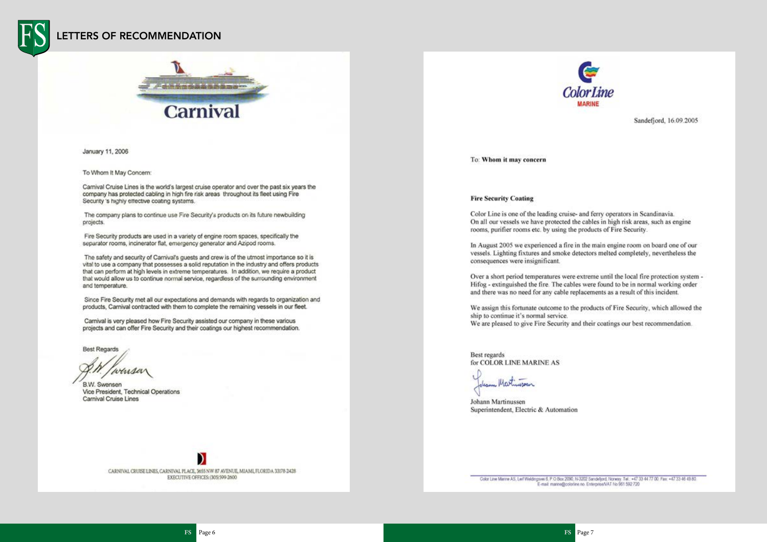### LETTERS OF RECOMMENDATION



January 11, 2006

To Whom It May Concern:

Carnival Cruise Lines is the world's largest cruise operator and over the past six years the company has protected cabling in high fire risk areas throughout its fleet using Fire Security 's highly effective coating systems.

The company plans to continue use Fire Security's products on its future newbuilding projects.

Fire Security products are used in a variety of engine room spaces, specifically the separator rooms, incinerator flat, emergency generator and Azipod rooms.

The safety and security of Carnival's guests and crew is of the utmost importance so it is vital to use a company that possesses a solid reputation in the industry and offers products that can perform at high levels in extreme temperatures. In addition, we require a product that would allow us to continue normal service, regardless of the surrounding environment and temperature.

Since Fire Security met all our expectations and demands with regards to organization and products. Carnival contracted with them to complete the remaining vessels in our fleet.

Carnival is very pleased how Fire Security assisted our company in these various projects and can offer Fire Security and their coatings our highest recommendation.

**Best Regards** 

winser

B.W. Swensen Vice President, Technical Operations Carnival Cruise Lines

CARNIVAL CRUISE LINES, CARNIVAL PLACE, 3655 NW 87 AVENUE, MIAMI, FLORIDA 33178-2428 EXECUTIVE OFFICES: (305) 599-2600



To: Whom it may concern

### **Fire Security Coating**

Color Line is one of the leading cruise- and ferry operators in Scandinavia. On all our vessels we have protected the cables in high risk areas, such as engine rooms, purifier rooms etc. by using the products of Fire Security.

In August 2005 we experienced a fire in the main engine room on board one of our vessels. Lighting fixtures and smoke detectors melted completely, nevertheless the consequences were insignificant.

Over a short period temperatures were extreme until the local fire protection system -Hifog - extinguished the fire. The cables were found to be in normal working order and there was no need for any cable replacements as a result of this incident.

We assign this fortunate outcome to the products of Fire Security, which allowed the ship to continue it's normal service. We are pleased to give Fire Security and their coatings our best recommendation.

Best regards for COLOR LINE MARINE AS

Johann Martinussen Superintendent, Electric & Automation

Color Line Marine AS, Leif Weldingsvei 6, P.O.Box 2090, N-3202 Sandeljord, Norway, Tel.: +47 33 44 77 00. Fax: +47 33 46 49 80. E-mail: manne@colorline.no. Enterprise/VAT No 961 592 720

Sandefjord, 16.09.2005